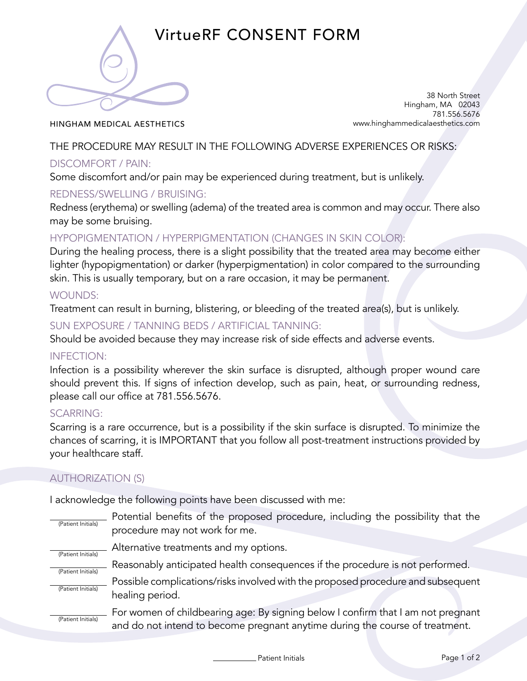

# VirtueRF CONSENT FORM

HINGHAM MEDICAL AESTHETICS

38 North Street Hingham, MA 02043 781.556.5676 www.hinghammedicalaesthetics.com

### THE PROCEDURE MAY RESULT IN THE FOLLOWING ADVERSE EXPERIENCES OR RISKS:

## DISCOMFORT / PAIN:

Some discomfort and/or pain may be experienced during treatment, but is unlikely.

## REDNESS/SWELLING / BRUISING:

Redness (erythema) or swelling (adema) of the treated area is common and may occur. There also may be some bruising.

## HYPOPIGMENTATION / HYPERPIGMENTATION (CHANGES IN SKIN COLOR):

During the healing process, there is a slight possibility that the treated area may become either lighter (hypopigmentation) or darker (hyperpigmentation) in color compared to the surrounding skin. This is usually temporary, but on a rare occasion, it may be permanent.

#### WOUNDS:

Treatment can result in burning, blistering, or bleeding of the treated area(s), but is unlikely.

#### SUN EXPOSURE / TANNING BEDS / ARTIFICIAL TANNING:

Should be avoided because they may increase risk of side effects and adverse events.

#### INFECTION:

Infection is a possibility wherever the skin surface is disrupted, although proper wound care should prevent this. If signs of infection develop, such as pain, heat, or surrounding redness, please call our office at 781.556.5676.

## SCARRING:

Scarring is a rare occurrence, but is a possibility if the skin surface is disrupted. To minimize the chances of scarring, it is IMPORTANT that you follow all post-treatment instructions provided by your healthcare staff.

## AUTHORIZATION (S)

I acknowledge the following points have been discussed with me:

| (Patient Initials)                       | Potential benefits of the proposed procedure, including the possibility that the<br>procedure may not work for me. |
|------------------------------------------|--------------------------------------------------------------------------------------------------------------------|
| (Patient Initials)<br>(Patient Initials) | Alternative treatments and my options.                                                                             |
|                                          | Reasonably anticipated health consequences if the procedure is not performed.                                      |
| (Patient Initials)                       | Possible complications/risks involved with the proposed procedure and subsequent<br>healing period.                |
|                                          | Earmanan of objetive against Durianten legioni Logafino that Long not proposed                                     |

For women of childbearing age: By signing below I confirm that I am not pregnant and do not intend to become pregnant anytime during the course of treatment. (Patient Initials)